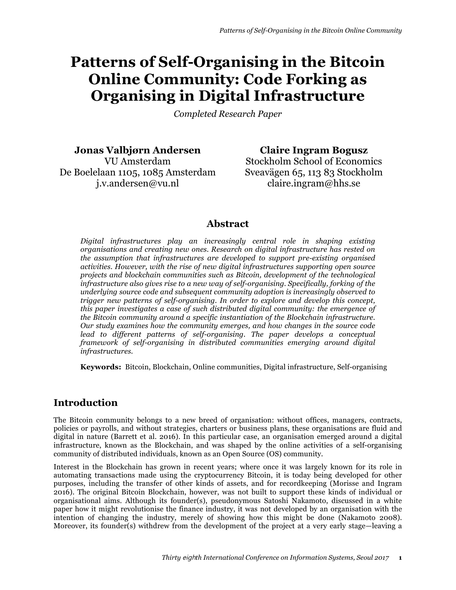# **Patterns of Self-Organising in the Bitcoin Online Community: Code Forking as Organising in Digital Infrastructure**

*Completed Research Paper*

**Jonas Valbjørn Andersen** VU Amsterdam De Boelelaan 1105, 1085 Amsterdam j.v.andersen@vu.nl

**Claire Ingram Bogusz** Stockholm School of Economics Sveavägen 65, 113 83 Stockholm claire.ingram@hhs.se

### **Abstract**

*Digital infrastructures play an increasingly central role in shaping existing organisations and creating new ones. Research on digital infrastructure has rested on the assumption that infrastructures are developed to support pre-existing organised activities. However, with the rise of new digital infrastructures supporting open source projects and blockchain communities such as Bitcoin, development of the technological infrastructure also gives rise to a new way of self-organising. Specifically, forking of the underlying source code and subsequent community adoption is increasingly observed to trigger new patterns of self-organising. In order to explore and develop this concept, this paper investigates a case of such distributed digital community: the emergence of the Bitcoin community around a specific instantiation of the Blockchain infrastructure. Our study examines how the community emerges, and how changes in the source code*  lead to different patterns of self-organising. The paper develops a conceptual *framework of self-organising in distributed communities emerging around digital infrastructures.*

**Keywords:** Bitcoin, Blockchain, Online communities, Digital infrastructure, Self-organising

# **Introduction**

The Bitcoin community belongs to a new breed of organisation: without offices, managers, contracts, policies or payrolls, and without strategies, charters or business plans, these organisations are fluid and digital in nature (Barrett et al. 2016). In this particular case, an organisation emerged around a digital infrastructure, known as the Blockchain, and was shaped by the online activities of a self-organising community of distributed individuals, known as an Open Source (OS) community.

Interest in the Blockchain has grown in recent years; where once it was largely known for its role in automating transactions made using the cryptocurrency Bitcoin, it is today being developed for other purposes, including the transfer of other kinds of assets, and for recordkeeping (Morisse and Ingram 2016). The original Bitcoin Blockchain, however, was not built to support these kinds of individual or organisational aims. Although its founder(s), pseudonymous Satoshi Nakamoto, discussed in a white paper how it might revolutionise the finance industry, it was not developed by an organisation with the intention of changing the industry, merely of showing how this might be done (Nakamoto 2008). Moreover, its founder(s) withdrew from the development of the project at a very early stage—leaving a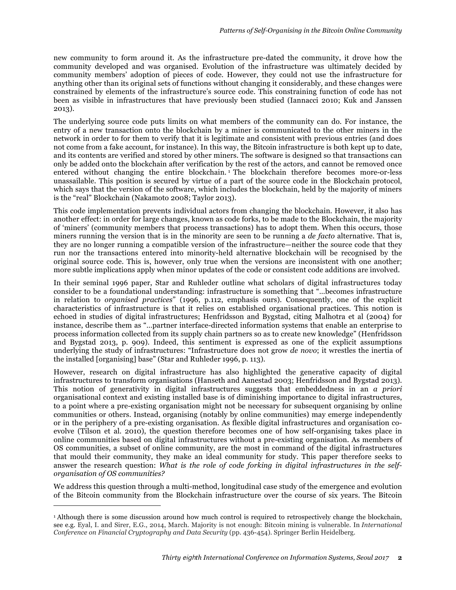new community to form around it. As the infrastructure pre-dated the community, it drove how the community developed and was organised. Evolution of the infrastructure was ultimately decided by community members' adoption of pieces of code. However, they could not use the infrastructure for anything other than its original sets of functions without changing it considerably, and these changes were constrained by elements of the infrastructure's source code. This constraining function of code has not been as visible in infrastructures that have previously been studied (Iannacci 2010; Kuk and Janssen 2013).

The underlying source code puts limits on what members of the community can do. For instance, the entry of a new transaction onto the blockchain by a miner is communicated to the other miners in the network in order to for them to verify that it is legitimate and consistent with previous entries (and does not come from a fake account, for instance). In this way, the Bitcoin infrastructure is both kept up to date, and its contents are verified and stored by other miners. The software is designed so that transactions can only be added onto the blockchain after verification by the rest of the actors, and cannot be removed once entered without changing the entire blockchain.<sup>1</sup> The blockchain therefore becomes more-or-less unassailable. This position is secured by virtue of a part of the source code in the Blockchain protocol, which says that the version of the software, which includes the blockchain, held by the majority of miners is the "real" Blockchain (Nakamoto 2008; Taylor 2013).

This code implementation prevents individual actors from changing the blockchain. However, it also has another effect: in order for large changes, known as code forks, to be made to the Blockchain, the majority of 'miners' (community members that process transactions) has to adopt them. When this occurs, those miners running the version that is in the minority are seen to be running a *de facto* alternative. That is, they are no longer running a compatible version of the infrastructure—neither the source code that they run nor the transactions entered into minority-held alternative blockchain will be recognised by the original source code. This is, however, only true when the versions are inconsistent with one another; more subtle implications apply when minor updates of the code or consistent code additions are involved.

In their seminal 1996 paper, Star and Ruhleder outline what scholars of digital infrastructures today consider to be a foundational understanding: infrastructure is something that "…becomes infrastructure in relation to *organised practices*" (1996, p.112, emphasis ours). Consequently, one of the explicit characteristics of infrastructure is that it relies on established organisational practices. This notion is echoed in studies of digital infrastructures; Henfridsson and Bygstad, citing Malhotra et al (2004) for instance, describe them as "…partner interface-directed information systems that enable an enterprise to process information collected from its supply chain partners so as to create new knowledge" (Henfridsson and Bygstad 2013, p. 909). Indeed, this sentiment is expressed as one of the explicit assumptions underlying the study of infrastructures: "Infrastructure does not grow *de novo*; it wrestles the inertia of the installed [organising] base" (Star and Ruhleder 1996, p. 113).

However, research on digital infrastructure has also highlighted the generative capacity of digital infrastructures to transform organisations (Hanseth and Aanestad 2003; Henfridsson and Bygstad 2013). This notion of generativity in digital infrastructures suggests that embeddedness in an *a priori* organisational context and existing installed base is of diminishing importance to digital infrastructures, to a point where a pre-existing organisation might not be necessary for subsequent organising by online communities or others. Instead, organising (notably by online communities) may emerge independently or in the periphery of a pre-existing organisation. As flexible digital infrastructures and organisation coevolve (Tilson et al. 2010), the question therefore becomes one of how self-organising takes place in online communities based on digital infrastructures without a pre-existing organisation. As members of OS communities, a subset of online community, are the most in command of the digital infrastructures that mould their community, they make an ideal community for study. This paper therefore seeks to answer the research question: *What is the role of code forking in digital infrastructures in the selforganisation of OS communities?*

We address this question through a multi-method, longitudinal case study of the emergence and evolution of the Bitcoin community from the Blockchain infrastructure over the course of six years. The Bitcoin

 $\overline{a}$ 

<sup>&</sup>lt;sup>1</sup> Although there is some discussion around how much control is required to retrospectively change the blockchain, see e.g. Eyal, I. and Sirer, E.G., 2014, March. Majority is not enough: Bitcoin mining is vulnerable. In *International Conference on Financial Cryptography and Data Security* (pp. 436-454). Springer Berlin Heidelberg.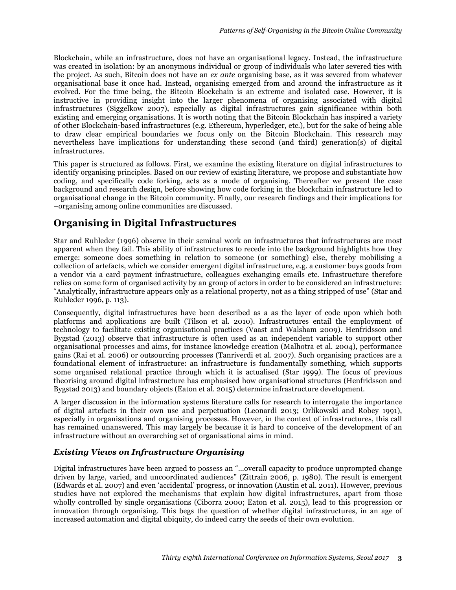Blockchain, while an infrastructure, does not have an organisational legacy. Instead, the infrastructure was created in isolation: by an anonymous individual or group of individuals who later severed ties with the project. As such, Bitcoin does not have an *ex ante* organising base, as it was severed from whatever organisational base it once had. Instead, organising emerged from and around the infrastructure as it evolved. For the time being, the Bitcoin Blockchain is an extreme and isolated case. However, it is instructive in providing insight into the larger phenomena of organising associated with digital infrastructures (Siggelkow 2007), especially as digital infrastructures gain significance within both existing and emerging organisations. It is worth noting that the Bitcoin Blockchain has inspired a variety of other Blockchain-based infrastructures (e.g. Ethereum, hyperledger, etc.), but for the sake of being able to draw clear empirical boundaries we focus only on the Bitcoin Blockchain. This research may nevertheless have implications for understanding these second (and third) generation(s) of digital infrastructures.

This paper is structured as follows. First, we examine the existing literature on digital infrastructures to identify organising principles. Based on our review of existing literature, we propose and substantiate how coding, and specifically code forking, acts as a mode of organising. Thereafter we present the case background and research design, before showing how code forking in the blockchain infrastructure led to organisational change in the Bitcoin community. Finally, our research findings and their implications for –organising among online communities are discussed.

# **Organising in Digital Infrastructures**

Star and Ruhleder (1996) observe in their seminal work on infrastructures that infrastructures are most apparent when they fail. This ability of infrastructures to recede into the background highlights how they emerge: someone does something in relation to someone (or something) else, thereby mobilising a collection of artefacts, which we consider emergent digital infrastructure, e.g. a customer buys goods from a vendor via a card payment infrastructure, colleagues exchanging emails etc. Infrastructure therefore relies on some form of organised activity by an group of actors in order to be considered an infrastructure: "Analytically, infrastructure appears only as a relational property, not as a thing stripped of use" (Star and Ruhleder 1996, p. 113).

Consequently, digital infrastructures have been described as a as the layer of code upon which both platforms and applications are built (Tilson et al. 2010). Infrastructures entail the employment of technology to facilitate existing organisational practices (Vaast and Walsham 2009). Henfridsson and Bygstad (2013) observe that infrastructure is often used as an independent variable to support other organisational processes and aims, for instance knowledge creation (Malhotra et al. 2004), performance gains (Rai et al. 2006) or outsourcing processes (Tanriverdi et al. 2007). Such organising practices are a foundational element of infrastructure: an infrastructure is fundamentally something, which supports some organised relational practice through which it is actualised (Star 1999). The focus of previous theorising around digital infrastructure has emphasised how organisational structures (Henfridsson and Bygstad 2013) and boundary objects (Eaton et al. 2015) determine infrastructure development.

A larger discussion in the information systems literature calls for research to interrogate the importance of digital artefacts in their own use and perpetuation (Leonardi 2013; Orlikowski and Robey 1991), especially in organisations and organising processes. However, in the context of infrastructures, this call has remained unanswered. This may largely be because it is hard to conceive of the development of an infrastructure without an overarching set of organisational aims in mind.

#### *Existing Views on Infrastructure Organising*

Digital infrastructures have been argued to possess an "…overall capacity to produce unprompted change driven by large, varied, and uncoordinated audiences" (Zittrain 2006, p. 1980). The result is emergent (Edwards et al. 2007) and even 'accidental' progress, or innovation (Austin et al. 2011). However, previous studies have not explored the mechanisms that explain how digital infrastructures, apart from those wholly controlled by single organisations (Ciborra 2000; Eaton et al. 2015), lead to this progression or innovation through organising. This begs the question of whether digital infrastructures, in an age of increased automation and digital ubiquity, do indeed carry the seeds of their own evolution.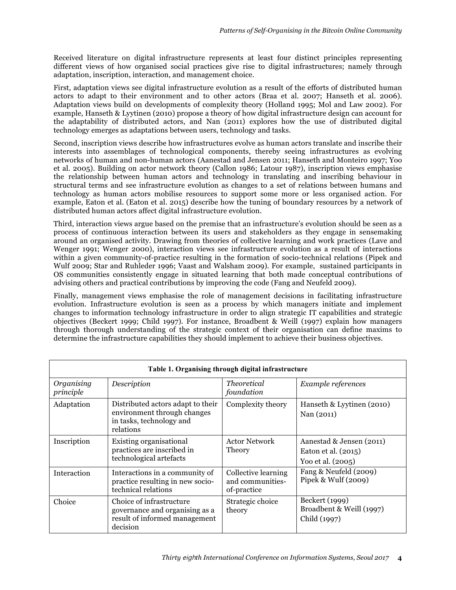Received literature on digital infrastructure represents at least four distinct principles representing different views of how organised social practices give rise to digital infrastructures; namely through adaptation, inscription, interaction, and management choice.

First, adaptation views see digital infrastructure evolution as a result of the efforts of distributed human actors to adapt to their environment and to other actors (Braa et al. 2007; Hanseth et al. 2006). Adaptation views build on developments of complexity theory (Holland 1995; Mol and Law 2002). For example, Hanseth & Lyytinen (2010) propose a theory of how digital infrastructure design can account for the adaptability of distributed actors, and Nan (2011) explores how the use of distributed digital technology emerges as adaptations between users, technology and tasks.

Second, inscription views describe how infrastructures evolve as human actors translate and inscribe their interests into assemblages of technological components, thereby seeing infrastructures as evolving networks of human and non-human actors (Aanestad and Jensen 2011; Hanseth and Monteiro 1997; Yoo et al. 2005). Building on actor network theory (Callon 1986; Latour 1987), inscription views emphasise the relationship between human actors and technology in translating and inscribing behaviour in structural terms and see infrastructure evolution as changes to a set of relations between humans and technology as human actors mobilise resources to support some more or less organised action. For example, Eaton et al. (Eaton et al. 2015) describe how the tuning of boundary resources by a network of distributed human actors affect digital infrastructure evolution.

Third, interaction views argue based on the premise that an infrastructure's evolution should be seen as a process of continuous interaction between its users and stakeholders as they engage in sensemaking around an organised activity. Drawing from theories of collective learning and work practices (Lave and Wenger 1991; Wenger 2000), interaction views see infrastructure evolution as a result of interactions within a given community-of-practice resulting in the formation of socio-technical relations (Pipek and Wulf 2009; Star and Ruhleder 1996; Vaast and Walsham 2009). For example, sustained participants in OS communities consistently engage in situated learning that both made conceptual contributions of advising others and practical contributions by improving the code (Fang and Neufeld 2009).

Finally, management views emphasise the role of management decisions in facilitating infrastructure evolution. Infrastructure evolution is seen as a process by which managers initiate and implement changes to information technology infrastructure in order to align strategic IT capabilities and strategic objectives (Beckert 1999; Child 1997). For instance, Broadbent & Weill (1997) explain how managers through thorough understanding of the strategic context of their organisation can define maxims to determine the infrastructure capabilities they should implement to achieve their business objectives.

| Table 1. Organising through digital infrastructure |                                                                                                           |                                                        |                                                                      |  |  |
|----------------------------------------------------|-----------------------------------------------------------------------------------------------------------|--------------------------------------------------------|----------------------------------------------------------------------|--|--|
| Organising<br>principle                            | Description                                                                                               | <i>Theoretical</i><br>foundation                       | Example references                                                   |  |  |
| Adaptation                                         | Distributed actors adapt to their<br>environment through changes<br>in tasks, technology and<br>relations | Complexity theory                                      | Hanseth & Lyytinen (2010)<br>Nan (2011)                              |  |  |
| Inscription                                        | Existing organisational<br>practices are inscribed in<br>technological artefacts                          | <b>Actor Network</b><br>Theory                         | Aanestad & Jensen (2011)<br>Eaton et al. (2015)<br>Yoo et al. (2005) |  |  |
| Interaction                                        | Interactions in a community of<br>practice resulting in new socio-<br>technical relations                 | Collective learning<br>and communities-<br>of-practice | Fang & Neufeld (2009)<br>Pipek & Wulf $(2009)$                       |  |  |
| Choice                                             | Choice of infrastructure<br>governance and organising as a<br>result of informed management<br>decision   | Strategic choice<br>theory                             | Beckert (1999)<br>Broadbent & Weill (1997)<br>Child (1997)           |  |  |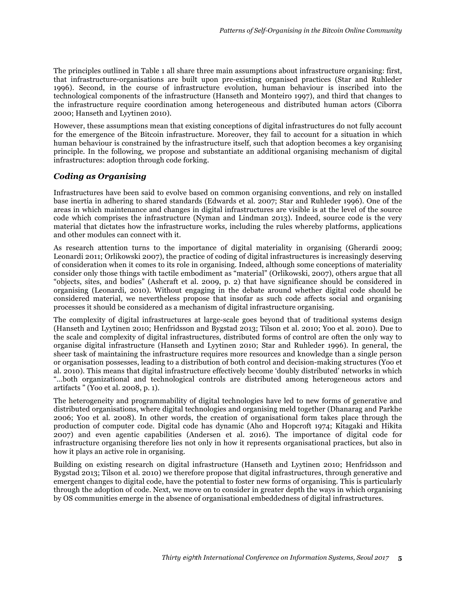The principles outlined in Table 1 all share three main assumptions about infrastructure organising: first, that infrastructure-organisations are built upon pre-existing organised practices (Star and Ruhleder 1996). Second, in the course of infrastructure evolution, human behaviour is inscribed into the technological components of the infrastructure (Hanseth and Monteiro 1997), and third that changes to the infrastructure require coordination among heterogeneous and distributed human actors (Ciborra 2000; Hanseth and Lyytinen 2010).

However, these assumptions mean that existing conceptions of digital infrastructures do not fully account for the emergence of the Bitcoin infrastructure. Moreover, they fail to account for a situation in which human behaviour is constrained by the infrastructure itself, such that adoption becomes a key organising principle. In the following, we propose and substantiate an additional organising mechanism of digital infrastructures: adoption through code forking.

#### *Coding as Organising*

Infrastructures have been said to evolve based on common organising conventions, and rely on installed base inertia in adhering to shared standards (Edwards et al. 2007; Star and Ruhleder 1996). One of the areas in which maintenance and changes in digital infrastructures are visible is at the level of the source code which comprises the infrastructure (Nyman and Lindman 2013). Indeed, source code is the very material that dictates how the infrastructure works, including the rules whereby platforms, applications and other modules can connect with it.

As research attention turns to the importance of digital materiality in organising (Gherardi 2009; Leonardi 2011; Orlikowski 2007), the practice of coding of digital infrastructures is increasingly deserving of consideration when it comes to its role in organising. Indeed, although some conceptions of materiality consider only those things with tactile embodiment as "material" (Orlikowski, 2007), others argue that all "objects, sites, and bodies" (Ashcraft et al. 2009, p. 2) that have significance should be considered in organising (Leonardi, 2010). Without engaging in the debate around whether digital code should be considered material, we nevertheless propose that insofar as such code affects social and organising processes it should be considered as a mechanism of digital infrastructure organising.

The complexity of digital infrastructures at large-scale goes beyond that of traditional systems design (Hanseth and Lyytinen 2010; Henfridsson and Bygstad 2013; Tilson et al. 2010; Yoo et al. 2010). Due to the scale and complexity of digital infrastructures, distributed forms of control are often the only way to organise digital infrastructure (Hanseth and Lyytinen 2010; Star and Ruhleder 1996). In general, the sheer task of maintaining the infrastructure requires more resources and knowledge than a single person or organisation possesses, leading to a distribution of both control and decision-making structures (Yoo et al. 2010). This means that digital infrastructure effectively become 'doubly distributed' networks in which "…both organizational and technological controls are distributed among heterogeneous actors and artifacts " (Yoo et al. 2008, p. 1).

The heterogeneity and programmability of digital technologies have led to new forms of generative and distributed organisations, where digital technologies and organising meld together (Dhanarag and Parkhe 2006; Yoo et al. 2008). In other words, the creation of organisational form takes place through the production of computer code. Digital code has dynamic (Aho and Hopcroft 1974; Kitagaki and Hikita 2007) and even agentic capabilities (Andersen et al. 2016). The importance of digital code for infrastructure organising therefore lies not only in how it represents organisational practices, but also in how it plays an active role in organising.

Building on existing research on digital infrastructure (Hanseth and Lyytinen 2010; Henfridsson and Bygstad 2013; Tilson et al. 2010) we therefore propose that digital infrastructures, through generative and emergent changes to digital code, have the potential to foster new forms of organising. This is particularly through the adoption of code. Next, we move on to consider in greater depth the ways in which organising by OS communities emerge in the absence of organisational embeddedness of digital infrastructures.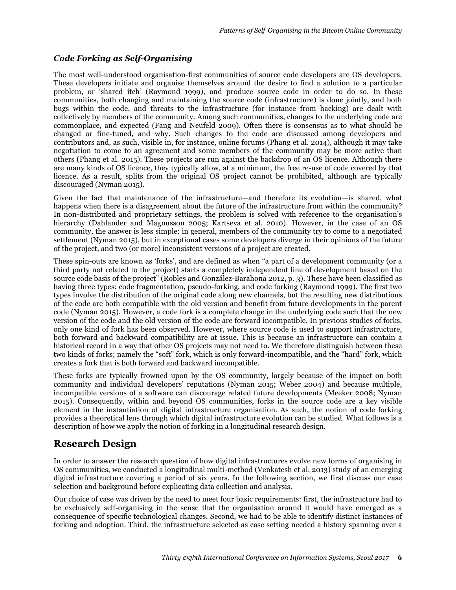#### *Code Forking as Self-Organising*

The most well-understood organisation-first communities of source code developers are OS developers. These developers initiate and organise themselves around the desire to find a solution to a particular problem, or 'shared itch' (Raymond 1999), and produce source code in order to do so. In these communities, both changing and maintaining the source code (infrastructure) is done jointly, and both bugs within the code, and threats to the infrastructure (for instance from hacking) are dealt with collectively by members of the community. Among such communities, changes to the underlying code are commonplace, and expected (Fang and Neufeld 2009). Often there is consensus as to what should be changed or fine-tuned, and why. Such changes to the code are discussed among developers and contributors and, as such, visible in, for instance, online forums (Phang et al. 2014), although it may take negotiation to come to an agreement and some members of the community may be more active than others (Phang et al. 2015). These projects are run against the backdrop of an OS licence. Although there are many kinds of OS licence, they typically allow, at a minimum, the free re-use of code covered by that licence. As a result, splits from the original OS project cannot be prohibited, although are typically discouraged (Nyman 2015).

Given the fact that maintenance of the infrastructure—and therefore its evolution—is shared, what happens when there is a disagreement about the future of the infrastructure from within the community? In non-distributed and proprietary settings, the problem is solved with reference to the organisation's hierarchy (Dahlander and Magnusson 2005; Kartseva et al. 2010). However, in the case of an OS community, the answer is less simple: in general, members of the community try to come to a negotiated settlement (Nyman 2015), but in exceptional cases some developers diverge in their opinions of the future of the project, and two (or more) inconsistent versions of a project are created.

These spin-outs are known as 'forks', and are defined as when "a part of a development community (or a third party not related to the project) starts a completely independent line of development based on the source code basis of the project" (Robles and González-Barahona 2012, p. 3). These have been classified as having three types: code fragmentation, pseudo-forking, and code forking (Raymond 1999). The first two types involve the distribution of the original code along new channels, but the resulting new distributions of the code are both compatible with the old version and benefit from future developments in the parent code (Nyman 2015). However, a code fork is a complete change in the underlying code such that the new version of the code and the old version of the code are forward incompatible. In previous studies of forks, only one kind of fork has been observed. However, where source code is used to support infrastructure, both forward and backward compatibility are at issue. This is because an infrastructure can contain a historical record in a way that other OS projects may not need to. We therefore distinguish between these two kinds of forks; namely the "soft" fork, which is only forward-incompatible, and the "hard" fork, which creates a fork that is both forward and backward incompatible.

These forks are typically frowned upon by the OS community, largely because of the impact on both community and individual developers' reputations (Nyman 2015; Weber 2004) and because multiple, incompatible versions of a software can discourage related future developments (Meeker 2008; Nyman 2015). Consequently, within and beyond OS communities, forks in the source code are a key visible element in the instantiation of digital infrastructure organisation. As such, the notion of code forking provides a theoretical lens through which digital infrastructure evolution can be studied. What follows is a description of how we apply the notion of forking in a longitudinal research design.

# **Research Design**

In order to answer the research question of how digital infrastructures evolve new forms of organising in OS communities, we conducted a longitudinal multi-method (Venkatesh et al. 2013) study of an emerging digital infrastructure covering a period of six years. In the following section, we first discuss our case selection and background before explicating data collection and analysis.

Our choice of case was driven by the need to meet four basic requirements: first, the infrastructure had to be exclusively self-organising in the sense that the organisation around it would have emerged as a consequence of specific technological changes. Second, we had to be able to identify distinct instances of forking and adoption. Third, the infrastructure selected as case setting needed a history spanning over a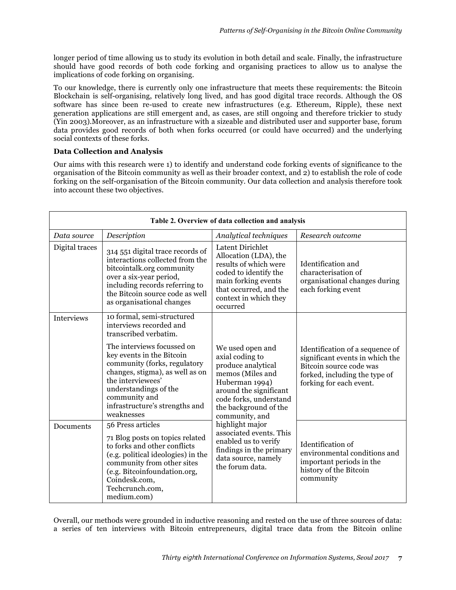longer period of time allowing us to study its evolution in both detail and scale. Finally, the infrastructure should have good records of both code forking and organising practices to allow us to analyse the implications of code forking on organising.

To our knowledge, there is currently only one infrastructure that meets these requirements: the Bitcoin Blockchain is self-organising, relatively long lived, and has good digital trace records. Although the OS software has since been re-used to create new infrastructures (e.g. Ethereum, Ripple), these next generation applications are still emergent and, as cases, are still ongoing and therefore trickier to study (Yin 2003).Moreover, as an infrastructure with a sizeable and distributed user and supporter base, forum data provides good records of both when forks occurred (or could have occurred) and the underlying social contexts of these forks.

#### **Data Collection and Analysis**

Our aims with this research were 1) to identify and understand code forking events of significance to the organisation of the Bitcoin community as well as their broader context, and 2) to establish the role of code forking on the self-organisation of the Bitcoin community. Our data collection and analysis therefore took into account these two objectives.

| Table 2. Overview of data collection and analysis |                                                                                                                                                                                                                                                            |                                                                                                                                                                                                                                                                                                                                           |                                                                                                                                                           |  |  |
|---------------------------------------------------|------------------------------------------------------------------------------------------------------------------------------------------------------------------------------------------------------------------------------------------------------------|-------------------------------------------------------------------------------------------------------------------------------------------------------------------------------------------------------------------------------------------------------------------------------------------------------------------------------------------|-----------------------------------------------------------------------------------------------------------------------------------------------------------|--|--|
| Data source                                       | Description                                                                                                                                                                                                                                                | Analytical techniques                                                                                                                                                                                                                                                                                                                     | Research outcome                                                                                                                                          |  |  |
| Digital traces                                    | 314 551 digital trace records of<br>interactions collected from the<br>bitcointalk.org community<br>over a six-year period,<br>including records referring to<br>the Bitcoin source code as well<br>as organisational changes                              | Latent Dirichlet<br>Allocation (LDA), the<br>results of which were<br>coded to identify the<br>main forking events<br>that occurred, and the<br>context in which they<br>occurred                                                                                                                                                         | Identification and<br>characterisation of<br>organisational changes during<br>each forking event                                                          |  |  |
| <b>Interviews</b>                                 | 10 formal, semi-structured<br>interviews recorded and<br>transcribed verbatim.<br>The interviews focussed on<br>key events in the Bitcoin<br>community (forks, regulatory<br>changes, stigma), as well as on<br>the interviewees'<br>understandings of the | We used open and<br>axial coding to<br>produce analytical<br>memos (Miles and<br>Huberman 1994)<br>around the significant<br>code forks, understand<br>the background of the<br>community, and<br>highlight major<br>associated events. This<br>enabled us to verify<br>findings in the primary<br>data source, namely<br>the forum data. | Identification of a sequence of<br>significant events in which the<br>Bitcoin source code was<br>forked, including the type of<br>forking for each event. |  |  |
|                                                   | community and<br>infrastructure's strengths and<br>weaknesses                                                                                                                                                                                              |                                                                                                                                                                                                                                                                                                                                           |                                                                                                                                                           |  |  |
| Documents                                         | 56 Press articles<br>71 Blog posts on topics related<br>to forks and other conflicts<br>(e.g. political ideologies) in the<br>community from other sites<br>(e.g. Bitcoinfoundation.org,<br>Coindesk.com,<br>Techcrunch.com,<br>medium.com)                |                                                                                                                                                                                                                                                                                                                                           | Identification of<br>environmental conditions and<br>important periods in the<br>history of the Bitcoin<br>community                                      |  |  |

Overall, our methods were grounded in inductive reasoning and rested on the use of three sources of data: a series of ten interviews with Bitcoin entrepreneurs, digital trace data from the Bitcoin online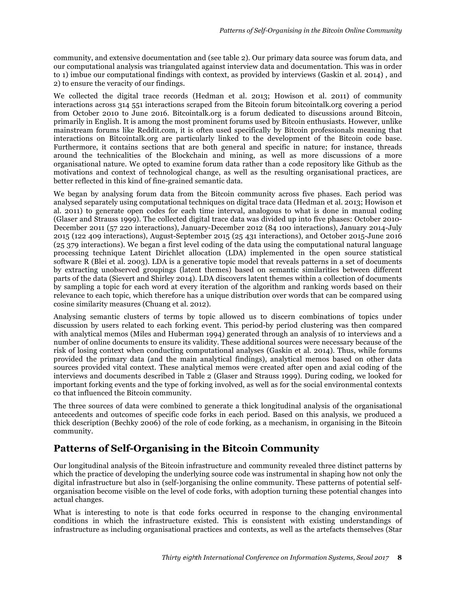community, and extensive documentation and (see table 2). Our primary data source was forum data, and our computational analysis was triangulated against interview data and documentation. This was in order to 1) imbue our computational findings with context, as provided by interviews (Gaskin et al. 2014) , and 2) to ensure the veracity of our findings.

We collected the digital trace records (Hedman et al. 2013; Howison et al. 2011) of community interactions across 314 551 interactions scraped from the Bitcoin forum bitcointalk.org covering a period from October 2010 to June 2016. Bitcointalk.org is a forum dedicated to discussions around Bitcoin, primarily in English. It is among the most prominent forums used by Bitcoin enthusiasts. However, unlike mainstream forums like Reddit.com, it is often used specifically by Bitcoin professionals meaning that interactions on Bitcointalk.org are particularly linked to the development of the Bitcoin code base. Furthermore, it contains sections that are both general and specific in nature; for instance, threads around the technicalities of the Blockchain and mining, as well as more discussions of a more organisational nature. We opted to examine forum data rather than a code repository like Github as the motivations and context of technological change, as well as the resulting organisational practices, are better reflected in this kind of fine-grained semantic data.

We began by analysing forum data from the Bitcoin community across five phases. Each period was analysed separately using computational techniques on digital trace data (Hedman et al. 2013; Howison et al. 2011) to generate open codes for each time interval, analogous to what is done in manual coding (Glaser and Strauss 1999). The collected digital trace data was divided up into five phases: October 2010- December 2011 (57 220 interactions), January-December 2012 (84 100 interactions), January 2014-July 2015 (122 409 interactions), August-September 2015 (25 431 interactions), and October 2015-June 2016 (25 379 interactions). We began a first level coding of the data using the computational natural language processing technique Latent Dirichlet allocation (LDA) implemented in the open source statistical software R (Blei et al. 2003). LDA is a generative topic model that reveals patterns in a set of documents by extracting unobserved groupings (latent themes) based on semantic similarities between different parts of the data (Sievert and Shirley 2014). LDA discovers latent themes within a collection of documents by sampling a topic for each word at every iteration of the algorithm and ranking words based on their relevance to each topic, which therefore has a unique distribution over words that can be compared using cosine similarity measures (Chuang et al. 2012).

Analysing semantic clusters of terms by topic allowed us to discern combinations of topics under discussion by users related to each forking event. This period-by period clustering was then compared with analytical memos (Miles and Huberman 1994) generated through an analysis of 10 interviews and a number of online documents to ensure its validity. These additional sources were necessary because of the risk of losing context when conducting computational analyses (Gaskin et al. 2014). Thus, while forums provided the primary data (and the main analytical findings), analytical memos based on other data sources provided vital context. These analytical memos were created after open and axial coding of the interviews and documents described in Table 2 (Glaser and Strauss 1999). During coding, we looked for important forking events and the type of forking involved, as well as for the social environmental contexts co that influenced the Bitcoin community.

The three sources of data were combined to generate a thick longitudinal analysis of the organisational antecedents and outcomes of specific code forks in each period. Based on this analysis, we produced a thick description (Bechky 2006) of the role of code forking, as a mechanism, in organising in the Bitcoin community.

# **Patterns of Self-Organising in the Bitcoin Community**

Our longitudinal analysis of the Bitcoin infrastructure and community revealed three distinct patterns by which the practice of developing the underlying source code was instrumental in shaping how not only the digital infrastructure but also in (self-)organising the online community. These patterns of potential selforganisation become visible on the level of code forks, with adoption turning these potential changes into actual changes.

What is interesting to note is that code forks occurred in response to the changing environmental conditions in which the infrastructure existed. This is consistent with existing understandings of infrastructure as including organisational practices and contexts, as well as the artefacts themselves (Star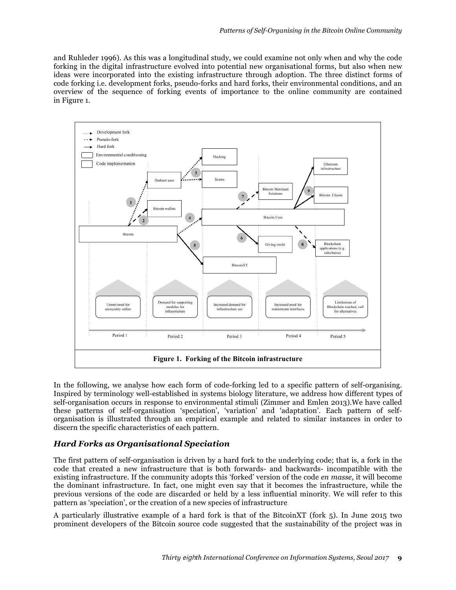and Ruhleder 1996). As this was a longitudinal study, we could examine not only when and why the code forking in the digital infrastructure evolved into potential new organisational forms, but also when new ideas were incorporated into the existing infrastructure through adoption. The three distinct forms of code forking i.e. development forks, pseudo-forks and hard forks, their environmental conditions, and an overview of the sequence of forking events of importance to the online community are contained in Figure 1.



In the following, we analyse how each form of code-forking led to a specific pattern of self-organising. Inspired by terminology well-established in systems biology literature, we address how different types of self-organisation occurs in response to environmental stimuli (Zimmer and Emlen 2013).We have called these patterns of self-organisation 'speciation', 'variation' and 'adaptation'. Each pattern of selforganisation is illustrated through an empirical example and related to similar instances in order to discern the specific characteristics of each pattern.

#### *Hard Forks as Organisational Speciation*

The first pattern of self-organisation is driven by a hard fork to the underlying code; that is, a fork in the code that created a new infrastructure that is both forwards- and backwards- incompatible with the existing infrastructure. If the community adopts this 'forked' version of the code *en masse*, it will become the dominant infrastructure. In fact, one might even say that it becomes the infrastructure, while the previous versions of the code are discarded or held by a less influential minority. We will refer to this pattern as 'speciation', or the creation of a new species of infrastructure

A particularly illustrative example of a hard fork is that of the BitcoinXT (fork 5). In June 2015 two prominent developers of the Bitcoin source code suggested that the sustainability of the project was in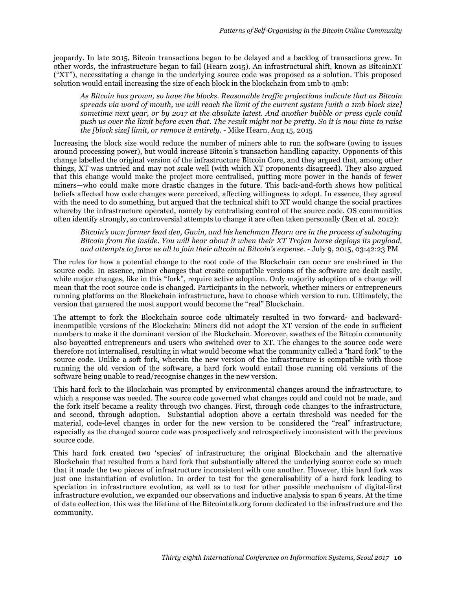jeopardy. In late 2015, Bitcoin transactions began to be delayed and a backlog of transactions grew. In other words, the infrastructure began to fail (Hearn 2015). An infrastructural shift, known as BitcoinXT ("XT"), necessitating a change in the underlying source code was proposed as a solution. This proposed solution would entail increasing the size of each block in the blockchain from 1mb to 4mb:

*As Bitcoin has grown, so have the blocks. Reasonable traffic projections indicate that as Bitcoin spreads via word of mouth, we will reach the limit of the current system [with a 1mb block size] sometime next year, or by 2017 at the absolute latest. And another bubble or press cycle could push us over the limit before even that. The result might not be pretty. So it is now time to raise the [block size] limit, or remove it entirely.* - Mike Hearn, Aug 15, 2015

Increasing the block size would reduce the number of miners able to run the software (owing to issues around processing power), but would increase Bitcoin's transaction handling capacity. Opponents of this change labelled the original version of the infrastructure Bitcoin Core, and they argued that, among other things, XT was untried and may not scale well (with which XT proponents disagreed). They also argued that this change would make the project more centralised, putting more power in the hands of fewer miners—who could make more drastic changes in the future. This back-and-forth shows how political beliefs affected how code changes were perceived, affecting willingness to adopt. In essence, they agreed with the need to do something, but argued that the technical shift to XT would change the social practices whereby the infrastructure operated, namely by centralising control of the source code. OS communities often identify strongly, so controversial attempts to change it are often taken personally (Ren et al. 2012):

*Bitcoin's own former lead dev, Gavin, and his henchman Hearn are in the process of sabotaging Bitcoin from the inside. You will hear about it when their XT Trojan horse deploys its payload, and attempts to force us all to join their altcoin at Bitcoin's expense.* - July 9, 2015, 03:42:23 PM

The rules for how a potential change to the root code of the Blockchain can occur are enshrined in the source code. In essence, minor changes that create compatible versions of the software are dealt easily, while major changes, like in this "fork", require active adoption. Only majority adoption of a change will mean that the root source code is changed. Participants in the network, whether miners or entrepreneurs running platforms on the Blockchain infrastructure, have to choose which version to run. Ultimately, the version that garnered the most support would become the "real" Blockchain.

The attempt to fork the Blockchain source code ultimately resulted in two forward- and backwardincompatible versions of the Blockchain: Miners did not adopt the XT version of the code in sufficient numbers to make it the dominant version of the Blockchain. Moreover, swathes of the Bitcoin community also boycotted entrepreneurs and users who switched over to XT. The changes to the source code were therefore not internalised, resulting in what would become what the community called a "hard fork" to the source code. Unlike a soft fork, wherein the new version of the infrastructure is compatible with those running the old version of the software, a hard fork would entail those running old versions of the software being unable to read/recognise changes in the new version.

This hard fork to the Blockchain was prompted by environmental changes around the infrastructure, to which a response was needed. The source code governed what changes could and could not be made, and the fork itself became a reality through two changes. First, through code changes to the infrastructure, and second, through adoption. Substantial adoption above a certain threshold was needed for the material, code-level changes in order for the new version to be considered the "real" infrastructure, especially as the changed source code was prospectively and retrospectively inconsistent with the previous source code.

This hard fork created two 'species' of infrastructure; the original Blockchain and the alternative Blockchain that resulted from a hard fork that substantially altered the underlying source code so much that it made the two pieces of infrastructure inconsistent with one another. However, this hard fork was just one instantiation of evolution. In order to test for the generalisability of a hard fork leading to speciation in infrastructure evolution, as well as to test for other possible mechanism of digital-first infrastructure evolution, we expanded our observations and inductive analysis to span 6 years. At the time of data collection, this was the lifetime of the Bitcointalk.org forum dedicated to the infrastructure and the community.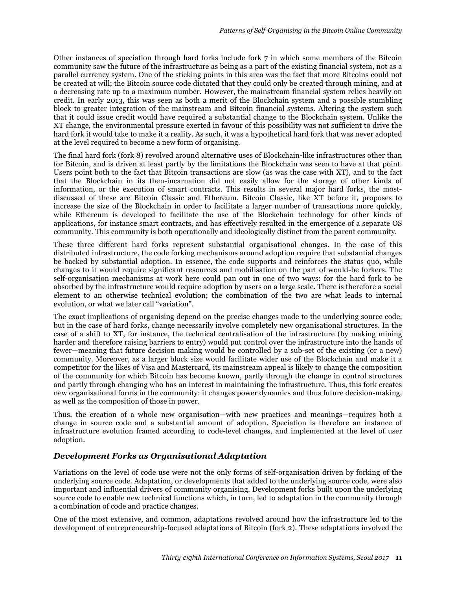Other instances of speciation through hard forks include fork 7 in which some members of the Bitcoin community saw the future of the infrastructure as being as a part of the existing financial system, not as a parallel currency system. One of the sticking points in this area was the fact that more Bitcoins could not be created at will; the Bitcoin source code dictated that they could only be created through mining, and at a decreasing rate up to a maximum number. However, the mainstream financial system relies heavily on credit. In early 2013, this was seen as both a merit of the Blockchain system and a possible stumbling block to greater integration of the mainstream and Bitcoin financial systems. Altering the system such that it could issue credit would have required a substantial change to the Blockchain system. Unlike the XT change, the environmental pressure exerted in favour of this possibility was not sufficient to drive the hard fork it would take to make it a reality. As such, it was a hypothetical hard fork that was never adopted at the level required to become a new form of organising.

The final hard fork (fork 8) revolved around alternative uses of Blockchain-like infrastructures other than for Bitcoin, and is driven at least partly by the limitations the Blockchain was seen to have at that point. Users point both to the fact that Bitcoin transactions are slow (as was the case with XT), and to the fact that the Blockchain in its then-incarnation did not easily allow for the storage of other kinds of information, or the execution of smart contracts. This results in several major hard forks, the mostdiscussed of these are Bitcoin Classic and Ethereum. Bitcoin Classic, like XT before it, proposes to increase the size of the Blockchain in order to facilitate a larger number of transactions more quickly, while Ethereum is developed to facilitate the use of the Blockchain technology for other kinds of applications, for instance smart contracts, and has effectively resulted in the emergence of a separate OS community. This community is both operationally and ideologically distinct from the parent community.

These three different hard forks represent substantial organisational changes. In the case of this distributed infrastructure, the code forking mechanisms around adoption require that substantial changes be backed by substantial adoption. In essence, the code supports and reinforces the status quo, while changes to it would require significant resources and mobilisation on the part of would-be forkers. The self-organisation mechanisms at work here could pan out in one of two ways: for the hard fork to be absorbed by the infrastructure would require adoption by users on a large scale. There is therefore a social element to an otherwise technical evolution; the combination of the two are what leads to internal evolution, or what we later call "variation".

The exact implications of organising depend on the precise changes made to the underlying source code, but in the case of hard forks, change necessarily involve completely new organisational structures. In the case of a shift to XT, for instance, the technical centralisation of the infrastructure (by making mining harder and therefore raising barriers to entry) would put control over the infrastructure into the hands of fewer—meaning that future decision making would be controlled by a sub-set of the existing (or a new) community. Moreover, as a larger block size would facilitate wider use of the Blockchain and make it a competitor for the likes of Visa and Mastercard, its mainstream appeal is likely to change the composition of the community for which Bitcoin has become known, partly through the change in control structures and partly through changing who has an interest in maintaining the infrastructure. Thus, this fork creates new organisational forms in the community: it changes power dynamics and thus future decision-making, as well as the composition of those in power.

Thus, the creation of a whole new organisation—with new practices and meanings—requires both a change in source code and a substantial amount of adoption. Speciation is therefore an instance of infrastructure evolution framed according to code-level changes, and implemented at the level of user adoption.

#### *Development Forks as Organisational Adaptation*

Variations on the level of code use were not the only forms of self-organisation driven by forking of the underlying source code. Adaptation, or developments that added to the underlying source code, were also important and influential drivers of community organising. Development forks built upon the underlying source code to enable new technical functions which, in turn, led to adaptation in the community through a combination of code and practice changes.

One of the most extensive, and common, adaptations revolved around how the infrastructure led to the development of entrepreneurship-focused adaptations of Bitcoin (fork 2). These adaptations involved the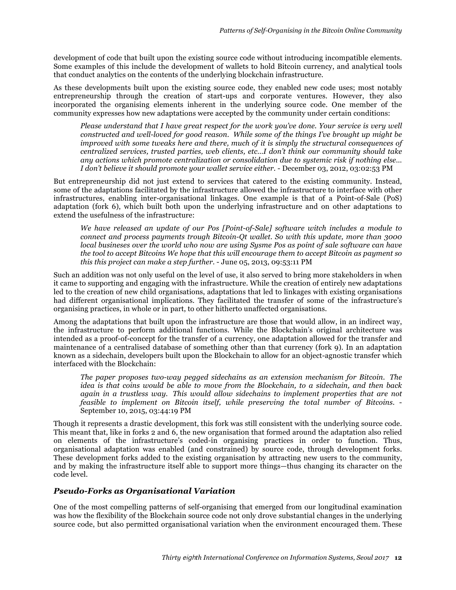development of code that built upon the existing source code without introducing incompatible elements. Some examples of this include the development of wallets to hold Bitcoin currency, and analytical tools that conduct analytics on the contents of the underlying blockchain infrastructure.

As these developments built upon the existing source code, they enabled new code uses; most notably entrepreneurship through the creation of start-ups and corporate ventures. However, they also incorporated the organising elements inherent in the underlying source code. One member of the community expresses how new adaptations were accepted by the community under certain conditions:

*Please understand that I have great respect for the work you've done. Your service is very well constructed and well-loved for good reason. While some of the things I've brought up might be improved with some tweaks here and there, much of it is simply the structural consequences of centralized services, trusted parties, web clients, etc…I don't think our community should take any actions which promote centralization or consolidation due to systemic risk if nothing else… I don't believe it should promote your wallet service either.* - December 03, 2012, 03:02:53 PM

But entrepreneurship did not just extend to services that catered to the existing community. Instead, some of the adaptations facilitated by the infrastructure allowed the infrastructure to interface with other infrastructures, enabling inter-organisational linkages. One example is that of a Point-of-Sale (PoS) adaptation (fork 6), which built both upon the underlying infrastructure and on other adaptations to extend the usefulness of the infrastructure:

*We have released an update of our Pos [Point-of-Sale] software witch includes a module to connect and process payments trough Bitcoin-Qt wallet. So with this update, more than 3000 local busineses over the world who now are using Sysme Pos as point of sale software can have the tool to accept Bitcoins We hope that this will encourage them to accept Bitcoin as payment so this this project can make a step further.* - June 05, 2013, 09:53:11 PM

Such an addition was not only useful on the level of use, it also served to bring more stakeholders in when it came to supporting and engaging with the infrastructure. While the creation of entirely new adaptations led to the creation of new child organisations, adaptations that led to linkages with existing organisations had different organisational implications. They facilitated the transfer of some of the infrastructure's organising practices, in whole or in part, to other hitherto unaffected organisations.

Among the adaptations that built upon the infrastructure are those that would allow, in an indirect way, the infrastructure to perform additional functions. While the Blockchain's original architecture was intended as a proof-of-concept for the transfer of a currency, one adaptation allowed for the transfer and maintenance of a centralised database of something other than that currency (fork 9). In an adaptation known as a sidechain, developers built upon the Blockchain to allow for an object-agnostic transfer which interfaced with the Blockchain:

*The paper proposes two-way pegged sidechains as an extension mechanism for Bitcoin. The idea is that coins would be able to move from the Blockchain, to a sidechain, and then back again in a trustless way. This would allow sidechains to implement properties that are not feasible to implement on Bitcoin itself, while preserving the total number of Bitcoins.* - September 10, 2015, 03:44:19 PM

Though it represents a drastic development, this fork was still consistent with the underlying source code. This meant that, like in forks 2 and 6, the new organisation that formed around the adaptation also relied on elements of the infrastructure's coded-in organising practices in order to function. Thus, organisational adaptation was enabled (and constrained) by source code, through development forks. These development forks added to the existing organisation by attracting new users to the community, and by making the infrastructure itself able to support more things—thus changing its character on the code level.

#### *Pseudo-Forks as Organisational Variation*

One of the most compelling patterns of self-organising that emerged from our longitudinal examination was how the flexibility of the Blockchain source code not only drove substantial changes in the underlying source code, but also permitted organisational variation when the environment encouraged them. These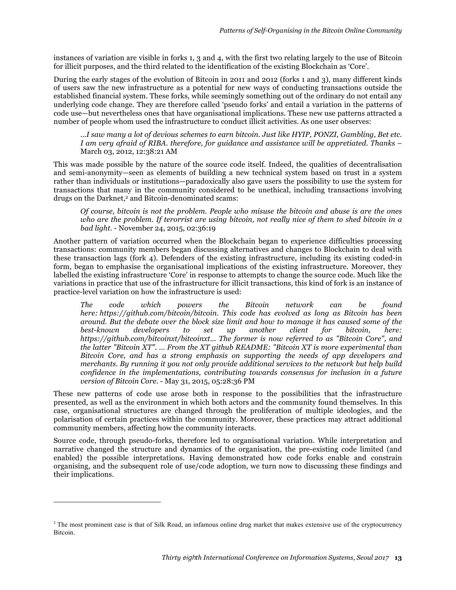instances of variation are visible in forks 1, 3 and 4, with the first two relating largely to the use of Bitcoin for illicit purposes, and the third related to the identification of the existing Blockchain as 'Core'.

During the early stages of the evolution of Bitcoin in 2011 and 2012 (forks 1 and 3), many different kinds of users saw the new infrastructure as a potential for new ways of conducting transactions outside the established financial system. These forks, while seemingly something out of the ordinary do not entail any underlying code change. They are therefore called 'pseudo forks' and entail a variation in the patterns of code use—but nevertheless ones that have organisational implications. These new use patterns attracted a number of people whom used the infrastructure to conduct illicit activities. As one user observes:

*…I saw many a lot of devious schemes to earn bitcoin. Just like HYIP, PONZI, Gambling, Bet etc. I am very afraid of RIBA. therefore, for guidance and assistance will be appretiated. Thanks* – March 03, 2012, 12:38:21 AM

This was made possible by the nature of the source code itself. Indeed, the qualities of decentralisation and semi-anonymity—seen as elements of building a new technical system based on trust in a system rather than individuals or institutions—paradoxically also gave users the possibility to use the system for transactions that many in the community considered to be unethical, including transactions involving drugs on the Darknet,<sup>2</sup> and Bitcoin-denominated scams:

*Of course, bitcoin is not the problem. People who misuse the bitcoin and abuse is are the ones who are the problem. If terorrist are using bitcoin, not really nice of them to shed bitcoin in a bad light.* - November 24, 2015, 02:36:19

Another pattern of variation occurred when the Blockchain began to experience difficulties processing transactions: community members began discussing alternatives and changes to Blockchain to deal with these transaction lags (fork 4). Defenders of the existing infrastructure, including its existing coded-in form, began to emphasise the organisational implications of the existing infrastructure. Moreover, they labelled the existing infrastructure 'Core' in response to attempts to change the source code. Much like the variations in practice that use of the infrastructure for illicit transactions, this kind of fork is an instance of practice-level variation on how the infrastructure is used:

*The code which powers the Bitcoin network can be found here: https://github.com/bitcoin/bitcoin. This code has evolved as long as Bitcoin has been around. But the debate over the block size limit and how to manage it has caused some of the best-known developers to set up another client for bitcoin, here: https://github.com/bitcoinxt/bitcoinxt... The former is now referred to as "Bitcoin Core", and the latter "Bitcoin XT". … From the XT github README: "Bitcoin XT is more experimental than Bitcoin Core, and has a strong emphasis on supporting the needs of app developers and merchants. By running it you not only provide additional services to the network but help build confidence in the implementations, contributing towards consensus for inclusion in a future version of Bitcoin Core.* - May 31, 2015, 05:28:36 PM

These new patterns of code use arose both in response to the possibilities that the infrastructure presented, as well as the environment in which both actors and the community found themselves. In this case, organisational structures are changed through the proliferation of multiple ideologies, and the polarisation of certain practices within the community. Moreover, these practices may attract additional community members, affecting how the community interacts.

Source code, through pseudo-forks, therefore led to organisational variation. While interpretation and narrative changed the structure and dynamics of the organisation, the pre-existing code limited (and enabled) the possible interpretations. Having demonstrated how code forks enable and constrain organising, and the subsequent role of use/code adoption, we turn now to discussing these findings and their implications.

 $\overline{a}$ 

<sup>&</sup>lt;sup>2</sup> The most prominent case is that of Silk Road, an infamous online drug market that makes extensive use of the cryptocurrency Bitcoin.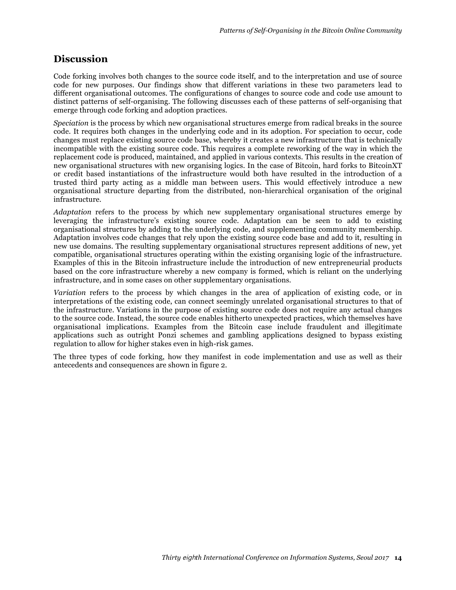## **Discussion**

Code forking involves both changes to the source code itself, and to the interpretation and use of source code for new purposes. Our findings show that different variations in these two parameters lead to different organisational outcomes. The configurations of changes to source code and code use amount to distinct patterns of self-organising. The following discusses each of these patterns of self-organising that emerge through code forking and adoption practices.

*Speciation* is the process by which new organisational structures emerge from radical breaks in the source code. It requires both changes in the underlying code and in its adoption. For speciation to occur, code changes must replace existing source code base, whereby it creates a new infrastructure that is technically incompatible with the existing source code. This requires a complete reworking of the way in which the replacement code is produced, maintained, and applied in various contexts. This results in the creation of new organisational structures with new organising logics. In the case of Bitcoin, hard forks to BitcoinXT or credit based instantiations of the infrastructure would both have resulted in the introduction of a trusted third party acting as a middle man between users. This would effectively introduce a new organisational structure departing from the distributed, non-hierarchical organisation of the original infrastructure.

*Adaptation* refers to the process by which new supplementary organisational structures emerge by leveraging the infrastructure's existing source code. Adaptation can be seen to add to existing organisational structures by adding to the underlying code, and supplementing community membership. Adaptation involves code changes that rely upon the existing source code base and add to it, resulting in new use domains. The resulting supplementary organisational structures represent additions of new, yet compatible, organisational structures operating within the existing organising logic of the infrastructure. Examples of this in the Bitcoin infrastructure include the introduction of new entrepreneurial products based on the core infrastructure whereby a new company is formed, which is reliant on the underlying infrastructure, and in some cases on other supplementary organisations.

*Variation* refers to the process by which changes in the area of application of existing code, or in interpretations of the existing code, can connect seemingly unrelated organisational structures to that of the infrastructure. Variations in the purpose of existing source code does not require any actual changes to the source code. Instead, the source code enables hitherto unexpected practices, which themselves have organisational implications. Examples from the Bitcoin case include fraudulent and illegitimate applications such as outright Ponzi schemes and gambling applications designed to bypass existing regulation to allow for higher stakes even in high-risk games.

The three types of code forking, how they manifest in code implementation and use as well as their antecedents and consequences are shown in figure 2.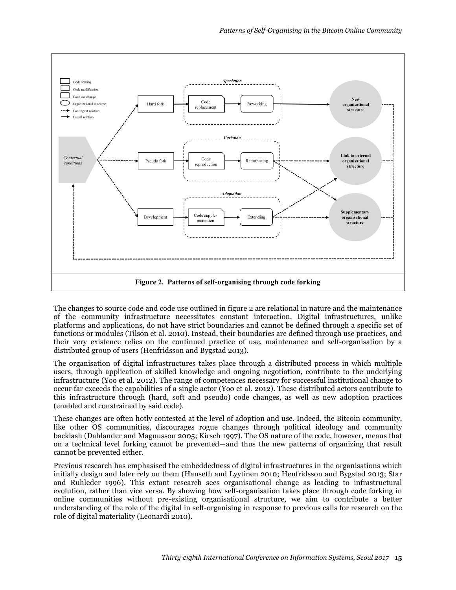

The changes to source code and code use outlined in figure 2 are relational in nature and the maintenance of the community infrastructure necessitates constant interaction. Digital infrastructures, unlike platforms and applications, do not have strict boundaries and cannot be defined through a specific set of functions or modules (Tilson et al. 2010). Instead, their boundaries are defined through use practices, and their very existence relies on the continued practice of use, maintenance and self-organisation by a distributed group of users (Henfridsson and Bygstad 2013).

The organisation of digital infrastructures takes place through a distributed process in which multiple users, through application of skilled knowledge and ongoing negotiation, contribute to the underlying infrastructure (Yoo et al. 2012). The range of competences necessary for successful institutional change to occur far exceeds the capabilities of a single actor (Yoo et al. 2012). These distributed actors contribute to this infrastructure through (hard, soft and pseudo) code changes, as well as new adoption practices (enabled and constrained by said code).

These changes are often hotly contested at the level of adoption and use. Indeed, the Bitcoin community, like other OS communities, discourages rogue changes through political ideology and community backlash (Dahlander and Magnusson 2005; Kirsch 1997). The OS nature of the code, however, means that on a technical level forking cannot be prevented—and thus the new patterns of organizing that result cannot be prevented either.

Previous research has emphasised the embeddedness of digital infrastructures in the organisations which initially design and later rely on them (Hanseth and Lyytinen 2010; Henfridsson and Bygstad 2013; Star and Ruhleder 1996). This extant research sees organisational change as leading to infrastructural evolution, rather than vice versa. By showing how self-organisation takes place through code forking in online communities without pre-existing organisational structure, we aim to contribute a better understanding of the role of the digital in self-organising in response to previous calls for research on the role of digital materiality (Leonardi 2010).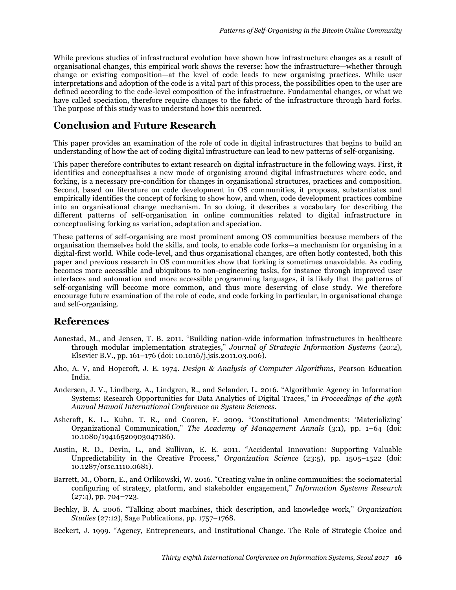While previous studies of infrastructural evolution have shown how infrastructure changes as a result of organisational changes, this empirical work shows the reverse: how the infrastructure—whether through change or existing composition—at the level of code leads to new organising practices. While user interpretations and adoption of the code is a vital part of this process, the possibilities open to the user are defined according to the code-level composition of the infrastructure. Fundamental changes, or what we have called speciation, therefore require changes to the fabric of the infrastructure through hard forks. The purpose of this study was to understand how this occurred.

## **Conclusion and Future Research**

This paper provides an examination of the role of code in digital infrastructures that begins to build an understanding of how the act of coding digital infrastructure can lead to new patterns of self-organising.

This paper therefore contributes to extant research on digital infrastructure in the following ways. First, it identifies and conceptualises a new mode of organising around digital infrastructures where code, and forking, is a necessary pre-condition for changes in organisational structures, practices and composition. Second, based on literature on code development in OS communities, it proposes, substantiates and empirically identifies the concept of forking to show how, and when, code development practices combine into an organisational change mechanism. In so doing, it describes a vocabulary for describing the different patterns of self-organisation in online communities related to digital infrastructure in conceptualising forking as variation, adaptation and speciation.

These patterns of self-organising are most prominent among OS communities because members of the organisation themselves hold the skills, and tools, to enable code forks—a mechanism for organising in a digital-first world. While code-level, and thus organisational changes, are often hotly contested, both this paper and previous research in OS communities show that forking is sometimes unavoidable. As coding becomes more accessible and ubiquitous to non-engineering tasks, for instance through improved user interfaces and automation and more accessible programming languages, it is likely that the patterns of self-organising will become more common, and thus more deserving of close study. We therefore encourage future examination of the role of code, and code forking in particular, in organisational change and self-organising.

# **References**

- Aanestad, M., and Jensen, T. B. 2011. "Building nation-wide information infrastructures in healthcare through modular implementation strategies," *Journal of Strategic Information Systems* (20:2), Elsevier B.V., pp. 161–176 (doi: 10.1016/j.jsis.2011.03.006).
- Aho, A. V, and Hopcroft, J. E. 1974. *Design & Analysis of Computer Algorithms*, Pearson Education India.
- Andersen, J. V., Lindberg, A., Lindgren, R., and Selander, L. 2016. "Algorithmic Agency in Information Systems: Research Opportunities for Data Analytics of Digital Traces," in *Proceedings of the 49th Annual Hawaii International Conference on System Sciences*.
- Ashcraft, K. L., Kuhn, T. R., and Cooren, F. 2009. "Constitutional Amendments: 'Materializing' Organizational Communication," *The Academy of Management Annals* (3:1), pp. 1–64 (doi: 10.1080/19416520903047186).
- Austin, R. D., Devin, L., and Sullivan, E. E. 2011. "Accidental Innovation: Supporting Valuable Unpredictability in the Creative Process," *Organization Science* (23:5), pp. 1505–1522 (doi: 10.1287/orsc.1110.0681).
- Barrett, M., Oborn, E., and Orlikowski, W. 2016. "Creating value in online communities: the sociomaterial configuring of strategy, platform, and stakeholder engagement," *Information Systems Research* (27:4), pp. 704–723.
- Bechky, B. A. 2006. "Talking about machines, thick description, and knowledge work," *Organization Studies* (27:12), Sage Publications, pp. 1757–1768.
- Beckert, J. 1999. "Agency, Entrepreneurs, and Institutional Change. The Role of Strategic Choice and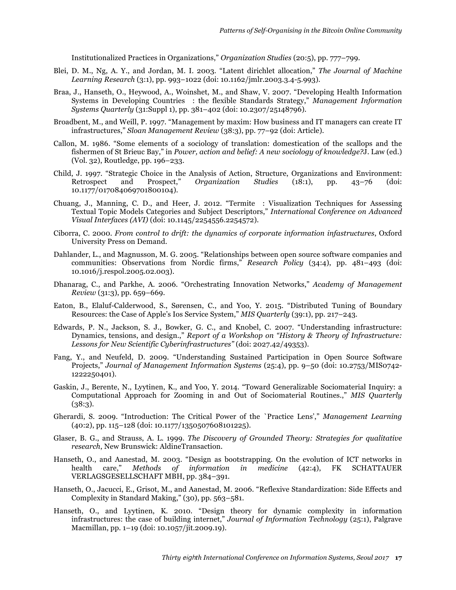Institutionalized Practices in Organizations," *Organization Studies* (20:5), pp. 777–799.

- Blei, D. M., Ng, A. Y., and Jordan, M. I. 2003. "Latent dirichlet allocation," *The Journal of Machine Learning Research* (3:1), pp. 993–1022 (doi: 10.1162/jmlr.2003.3.4-5.993).
- Braa, J., Hanseth, O., Heywood, A., Woinshet, M., and Shaw, V. 2007. "Developing Health Information Systems in Developing Countries : the flexible Standards Strategy," *Management Information Systems Quarterly* (31:Suppl 1), pp. 381–402 (doi: 10.2307/25148796).
- Broadbent, M., and Weill, P. 1997. "Management by maxim: How business and IT managers can create IT infrastructures," *Sloan Management Review* (38:3), pp. 77–92 (doi: Article).
- Callon, M. 1986. "Some elements of a sociology of translation: domestication of the scallops and the fishermen of St Brieuc Bay," in *Power, action and belief: A new sociology of knowledge?*J. Law (ed.) (Vol. 32), Routledge, pp. 196–233.
- Child, J. 1997. "Strategic Choice in the Analysis of Action, Structure, Organizations and Environment:<br>Retrospect and Prospect," Organization Studies (18:1), pp. 43–76 (doi: Retrospect and Prospect," *Organization Studies* (18:1), pp. 43–76 (doi: 10.1177/017084069701800104).
- Chuang, J., Manning, C. D., and Heer, J. 2012. "Termite : Visualization Techniques for Assessing Textual Topic Models Categories and Subject Descriptors," *International Conference on Advanced Visual Interfaces (AVI)* (doi: 10.1145/2254556.2254572).
- Ciborra, C. 2000. *From control to drift: the dynamics of corporate information infastructures*, Oxford University Press on Demand.
- Dahlander, L., and Magnusson, M. G. 2005. "Relationships between open source software companies and communities: Observations from Nordic firms," *Research Policy* (34:4), pp. 481–493 (doi: 10.1016/j.respol.2005.02.003).
- Dhanarag, C., and Parkhe, A. 2006. "Orchestrating Innovation Networks," *Academy of Management Review* (31:3), pp. 659–669.
- Eaton, B., Elaluf-Calderwood, S., Sørensen, C., and Yoo, Y. 2015. "Distributed Tuning of Boundary Resources: the Case of Apple's Ios Service System," *MIS Quarterly* (39:1), pp. 217–243.
- Edwards, P. N., Jackson, S. J., Bowker, G. C., and Knobel, C. 2007. "Understanding infrastructure: Dynamics, tensions, and design.," *Report of a Workshop on "History & Theory of Infrastructure: Lessons for New Scientific Cyberinfrastructures"* (doi: 2027.42/49353).
- Fang, Y., and Neufeld, D. 2009. "Understanding Sustained Participation in Open Source Software Projects," *Journal of Management Information Systems* (25:4), pp. 9–50 (doi: 10.2753/MIS0742- 1222250401).
- Gaskin, J., Berente, N., Lyytinen, K., and Yoo, Y. 2014. "Toward Generalizable Sociomaterial Inquiry: a Computational Approach for Zooming in and Out of Sociomaterial Routines.," *MIS Quarterly*  $(38:3).$
- Gherardi, S. 2009. "Introduction: The Critical Power of the `Practice Lens'," *Management Learning* (40:2), pp. 115–128 (doi: 10.1177/1350507608101225).
- Glaser, B. G., and Strauss, A. L. 1999. *The Discovery of Grounded Theory: Strategies for qualitative research*, New Brunswick: AldineTransaction.
- Hanseth, O., and Aanestad, M. 2003. "Design as bootstrapping. On the evolution of ICT networks in health care," *Methods of information in medicine* (42:4), FK SCHATTAUER VERLAGSGESELLSCHAFT MBH, pp. 384–391.
- Hanseth, O., Jacucci, E., Grisot, M., and Aanestad, M. 2006. "Reflexive Standardization: Side Effects and Complexity in Standard Making," (30), pp. 563–581.
- Hanseth, O., and Lyytinen, K. 2010. "Design theory for dynamic complexity in information infrastructures: the case of building internet," *Journal of Information Technology* (25:1), Palgrave Macmillan, pp. 1–19 (doi: 10.1057/jit.2009.19).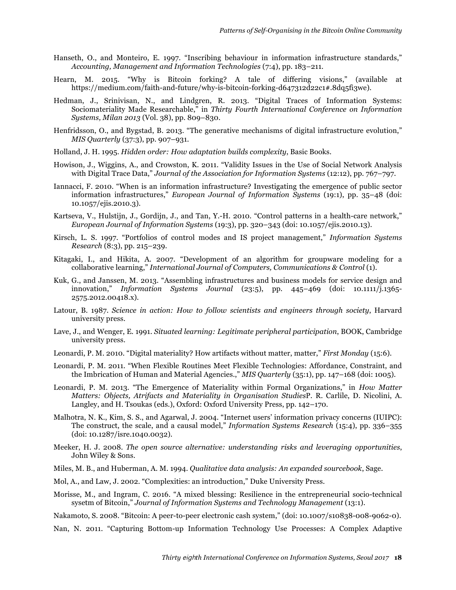- Hanseth, O., and Monteiro, E. 1997. "Inscribing behaviour in information infrastructure standards," *Accounting, Management and Information Technologies* (7:4), pp. 183–211.
- Hearn, M. 2015. "Why is Bitcoin forking? A tale of differing visions," (available at https://medium.com/faith-and-future/why-is-bitcoin-forking-d647312d22c1#.8dq5fi3we).
- Hedman, J., Srinivisan, N., and Lindgren, R. 2013. "Digital Traces of Information Systems: Sociomateriality Made Researchable," in *Thirty Fourth International Conference on Information Systems, Milan 2013* (Vol. 38), pp. 809–830.
- Henfridsson, O., and Bygstad, B. 2013. "The generative mechanisms of digital infrastructure evolution," *MIS Quarterly* (37:3), pp. 907–931.
- Holland, J. H. 1995. *Hidden order: How adaptation builds complexity*, Basic Books.
- Howison, J., Wiggins, A., and Crowston, K. 2011. "Validity Issues in the Use of Social Network Analysis with Digital Trace Data," *Journal of the Association for Information Systems* (12:12), pp. 767–797.
- Iannacci, F. 2010. "When is an information infrastructure? Investigating the emergence of public sector information infrastructures," *European Journal of Information Systems* (19:1), pp. 35–48 (doi: 10.1057/ejis.2010.3).
- Kartseva, V., Hulstijn, J., Gordijn, J., and Tan, Y.-H. 2010. "Control patterns in a health-care network," *European Journal of Information Systems* (19:3), pp. 320–343 (doi: 10.1057/ejis.2010.13).
- Kirsch, L. S. 1997. "Portfolios of control modes and IS project management," *Information Systems Research* (8:3), pp. 215–239.
- Kitagaki, I., and Hikita, A. 2007. "Development of an algorithm for groupware modeling for a collaborative learning," *International Journal of Computers, Communications & Control* (1).
- Kuk, G., and Janssen, M. 2013. "Assembling infrastructures and business models for service design and innovation," *Information Systems Journal* (23:5), pp. 445–469 (doi: 10.1111/j.1365- 2575.2012.00418.x).
- Latour, B. 1987. *Science in action: How to follow scientists and engineers through society*, Harvard university press.
- Lave, J., and Wenger, E. 1991. *Situated learning: Legitimate peripheral participation*, BOOK, Cambridge university press.
- Leonardi, P. M. 2010. "Digital materiality? How artifacts without matter, matter," *First Monday* (15:6).
- Leonardi, P. M. 2011. "When Flexible Routines Meet Flexible Technologies: Affordance, Constraint, and the Imbrication of Human and Material Agencies.," *MIS Quarterly* (35:1), pp. 147–168 (doi: 1005).
- Leonardi, P. M. 2013. "The Emergence of Materiality within Formal Organizations," in *How Matter Matters: Objects, Atrifacts and Materiality in Organisation Studies*P. R. Carlile, D. Nicolini, A. Langley, and H. Tsoukas (eds.), Oxford: Oxford University Press, pp. 142–170.
- Malhotra, N. K., Kim, S. S., and Agarwal, J. 2004. "Internet users' information privacy concerns (IUIPC): The construct, the scale, and a causal model," *Information Systems Research* (15:4), pp. 336–355 (doi: 10.1287/isre.1040.0032).
- Meeker, H. J. 2008. *The open source alternative: understanding risks and leveraging opportunities*, John Wiley & Sons.
- Miles, M. B., and Huberman, A. M. 1994. *Qualitative data analysis: An expanded sourcebook*, Sage.
- Mol, A., and Law, J. 2002. "Complexities: an introduction," Duke University Press.
- Morisse, M., and Ingram, C. 2016. "A mixed blessing: Resilience in the entrepreneurial socio-technical sysetm of Bitcoin," *Journal of Information Systems and Technology Management* (13:1).
- Nakamoto, S. 2008. "Bitcoin: A peer-to-peer electronic cash system," (doi: 10.1007/s10838-008-9062-0).
- Nan, N. 2011. "Capturing Bottom-up Information Technology Use Processes: A Complex Adaptive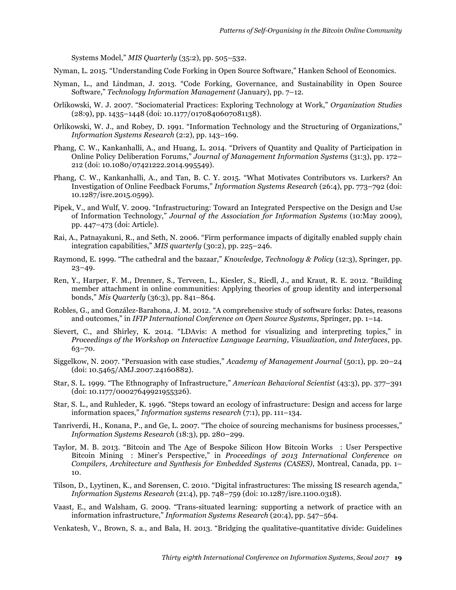Systems Model," *MIS Quarterly* (35:2), pp. 505–532.

- Nyman, L. 2015. "Understanding Code Forking in Open Source Software," Hanken School of Economics.
- Nyman, L., and Lindman, J. 2013. "Code Forking, Governance, and Sustainability in Open Source Software," *Technology Information Management* (January), pp. 7–12.
- Orlikowski, W. J. 2007. "Sociomaterial Practices: Exploring Technology at Work," *Organization Studies* (28:9), pp. 1435–1448 (doi: 10.1177/0170840607081138).
- Orlikowski, W. J., and Robey, D. 1991. "Information Technology and the Structuring of Organizations," *Information Systems Research* (2:2), pp. 143–169.
- Phang, C. W., Kankanhalli, A., and Huang, L. 2014. "Drivers of Quantity and Quality of Participation in Online Policy Deliberation Forums," *Journal of Management Information Systems* (31:3), pp. 172– 212 (doi: 10.1080/07421222.2014.995549).
- Phang, C. W., Kankanhalli, A., and Tan, B. C. Y. 2015. "What Motivates Contributors vs. Lurkers? An Investigation of Online Feedback Forums," *Information Systems Research* (26:4), pp. 773–792 (doi: 10.1287/isre.2015.0599).
- Pipek, V., and Wulf, V. 2009. "Infrastructuring: Toward an Integrated Perspective on the Design and Use of Information Technology," *Journal of the Association for Information Systems* (10:May 2009), pp. 447–473 (doi: Article).
- Rai, A., Patnayakuni, R., and Seth, N. 2006. "Firm performance impacts of digitally enabled supply chain integration capabilities," *MIS quarterly* (30:2), pp. 225–246.
- Raymond, E. 1999. "The cathedral and the bazaar," *Knowledge, Technology & Policy* (12:3), Springer, pp.  $23 - 49.$
- Ren, Y., Harper, F. M., Drenner, S., Terveen, L., Kiesler, S., Riedl, J., and Kraut, R. E. 2012. "Building member attachment in online communities: Applying theories of group identity and interpersonal bonds," *Mis Quarterly* (36:3), pp. 841–864.
- Robles, G., and González-Barahona, J. M. 2012. "A comprehensive study of software forks: Dates, reasons and outcomes," in *IFIP International Conference on Open Source Systems*, Springer, pp. 1–14.
- Sievert, C., and Shirley, K. 2014. "LDAvis: A method for visualizing and interpreting topics," in *Proceedings of the Workshop on Interactive Language Learning, Visualization, and Interfaces*, pp. 63–70.
- Siggelkow, N. 2007. "Persuasion with case studies," *Academy of Management Journal* (50:1), pp. 20–24 (doi: 10.5465/AMJ.2007.24160882).
- Star, S. L. 1999. "The Ethnography of Infrastructure," *American Behavioral Scientist* (43:3), pp. 377–391 (doi: 10.1177/00027649921955326).
- Star, S. L., and Ruhleder, K. 1996. "Steps toward an ecology of infrastructure: Design and access for large information spaces," *Information systems research* (7:1), pp. 111–134.
- Tanriverdi, H., Konana, P., and Ge, L. 2007. "The choice of sourcing mechanisms for business processes," *Information Systems Research* (18:3), pp. 280–299.
- Taylor, M. B. 2013. "Bitcoin and The Age of Bespoke Silicon How Bitcoin Works : User Perspective Bitcoin Mining : Miner's Perspective," in *Proceedings of 2013 International Conference on Compilers, Architecture and Synthesis for Embedded Systems (CASES)*, Montreal, Canada, pp. 1– 10.
- Tilson, D., Lyytinen, K., and Sørensen, C. 2010. "Digital infrastructures: The missing IS research agenda," *Information Systems Research* (21:4), pp. 748–759 (doi: 10.1287/isre.1100.0318).
- Vaast, E., and Walsham, G. 2009. "Trans-situated learning: supporting a network of practice with an information infrastructure," *Information Systems Research* (20:4), pp. 547–564.
- Venkatesh, V., Brown, S. a., and Bala, H. 2013. "Bridging the qualitative-quantitative divide: Guidelines